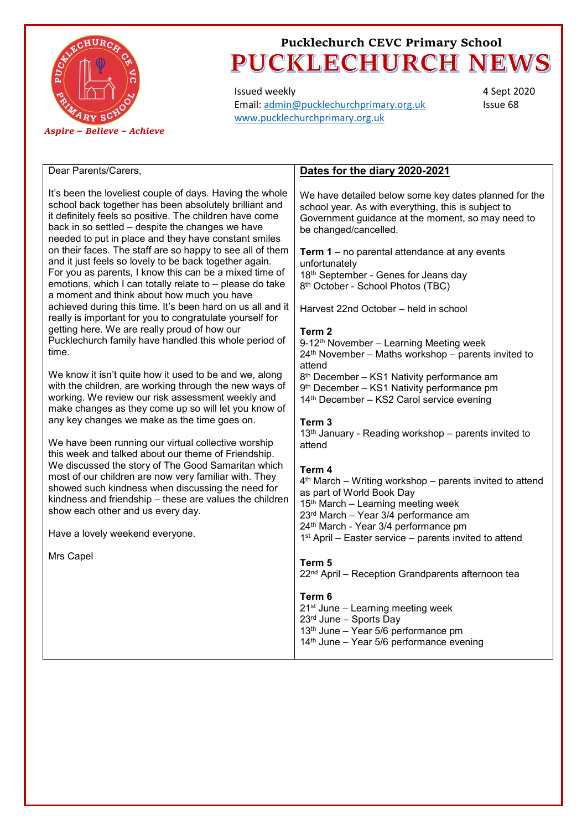

Issued weekly Email[: admin@pucklechurchprimary.org.uk](mailto:admin@pucklechurchprimary.org.uk) [www.pucklechurchprimary.org.uk](http://www.pucklechurchprimary.org.uk/)

4 Sept 2020 Issue 68

### Dear Parents/Carers,

It's been the loveliest couple of days. Having the whole school back together has been absolutely brilliant and it definitely feels so positive. The children have come back in so settled – despite the changes we have needed to put in place and they have constant smiles on their faces. The staff are so happy to see all of them and it just feels so lovely to be back together again. For you as parents, I know this can be a mixed time of emotions, which I can totally relate to – please do take a moment and think about how much you have achieved during this time. It's been hard on us all and it really is important for you to congratulate yourself for getting here. We are really proud of how our Pucklechurch family have handled this whole period of time.

We know it isn't quite how it used to be and we, along with the children, are working through the new ways of working. We review our risk assessment weekly and make changes as they come up so will let you know of any key changes we make as the time goes on.

We have been running our virtual collective worship this week and talked about our theme of Friendship. We discussed the story of The Good Samaritan which most of our children are now very familiar with. They showed such kindness when discussing the need for kindness and friendship – these are values the children show each other and us every day.

Have a lovely weekend everyone.

Mrs Capel

## **Dates for the diary 2020-2021**

We have detailed below some key dates planned for the school year. As with everything, this is subject to Government guidance at the moment, so may need to be changed/cancelled.

**Term 1** – no parental attendance at any events unfortunately 18<sup>th</sup> September - Genes for Jeans day 8 th October - School Photos (TBC)

Harvest 22nd October – held in school

#### **Term 2**

9-12<sup>th</sup> November – Learning Meeting week  $24<sup>th</sup>$  November – Maths workshop – parents invited to attend 8 th December – KS1 Nativity performance am 9 th December – KS1 Nativity performance pm

14th December – KS2 Carol service evening

#### **Term 3**

 $13<sup>th</sup>$  January - Reading workshop – parents invited to attend

### **Term 4**

4 th March – Writing workshop – parents invited to attend as part of World Book Day  $15<sup>th</sup>$  March – Learning meeting week 23rd March – Year 3/4 performance am 24th March - Year 3/4 performance pm 1<sup>st</sup> April – Easter service – parents invited to attend

### **Term 5**

22<sup>nd</sup> April – Reception Grandparents afternoon tea

#### **Term 6**

st June – Learning meeting week rd June – Sports Day th June – Year 5/6 performance pm th June – Year 5/6 performance evening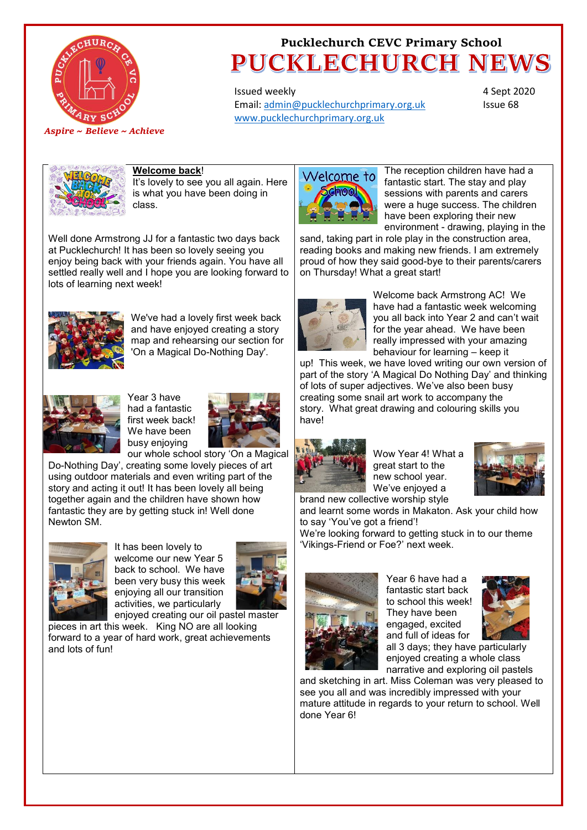

Issued weekly Email[: admin@pucklechurchprimary.org.uk](mailto:admin@pucklechurchprimary.org.uk) [www.pucklechurchprimary.org.uk](http://www.pucklechurchprimary.org.uk/)

4 Sept 2020 Issue 68



## **Welcome back**!

It's lovely to see you all again. Here is what you have been doing in class.

Well done Armstrong JJ for a fantastic two days back at Pucklechurch! It has been so lovely seeing you enjoy being back with your friends again. You have all settled really well and I hope you are looking forward to lots of learning next week!



We've had a lovely first week back and have enjoyed creating a story map and rehearsing our section for 'On a Magical Do-Nothing Day'.



Year 3 have had a fantastic first week back! We have been busy enjoying



our whole school story 'On a Magical Do-Nothing Day', creating some lovely pieces of art using outdoor materials and even writing part of the story and acting it out! It has been lovely all being together again and the children have shown how fantastic they are by getting stuck in! Well done Newton SM.



It has been lovely to welcome our new Year 5 back to school. We have been very busy this week enjoying all our transition activities, we particularly



enjoyed creating our oil pastel master pieces in art this week. King NO are all looking forward to a year of hard work, great achievements and lots of fun!



The reception children have had a fantastic start. The stay and play sessions with parents and carers were a huge success. The children have been exploring their new environment - drawing, playing in the

sand, taking part in role play in the construction area, reading books and making new friends. I am extremely proud of how they said good-bye to their parents/carers on Thursday! What a great start!



Welcome back Armstrong AC! We have had a fantastic week welcoming you all back into Year 2 and can't wait for the year ahead. We have been really impressed with your amazing behaviour for learning – keep it

up! This week, we have loved writing our own version of part of the story 'A Magical Do Nothing Day' and thinking of lots of super adjectives. We've also been busy creating some snail art work to accompany the story. What great drawing and colouring skills you have!



Wow Year 4! What a great start to the new school year. We've enjoyed a brand new collective worship style



and learnt some words in Makaton. Ask your child how to say 'You've got a friend'!

We're looking forward to getting stuck in to our theme 'Vikings-Friend or Foe?' next week.



Year 6 have had a fantastic start back to school this week! They have been engaged, excited and full of ideas for



all 3 days; they have particularly enjoyed creating a whole class narrative and exploring oil pastels

and sketching in art. Miss Coleman was very pleased to see you all and was incredibly impressed with your mature attitude in regards to your return to school. Well done Year 6!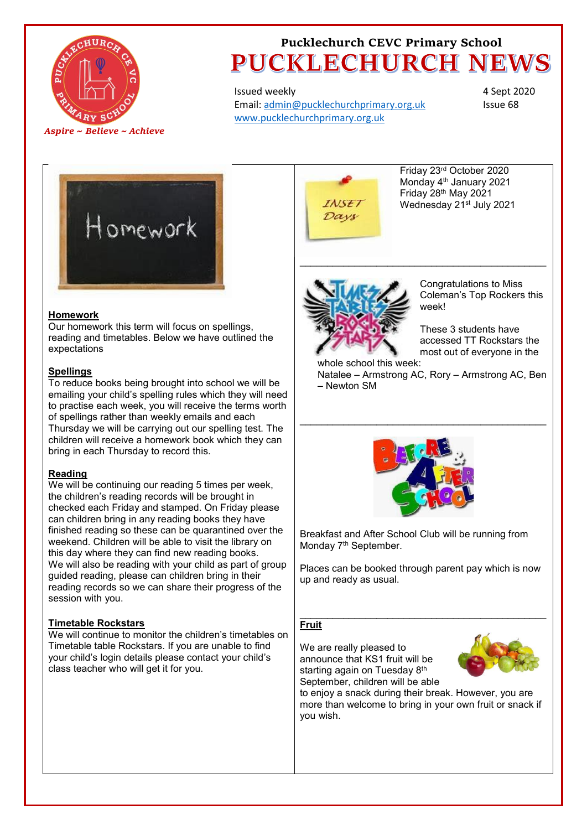

Issued weekly Email[: admin@pucklechurchprimary.org.uk](mailto:admin@pucklechurchprimary.org.uk) [www.pucklechurchprimary.org.uk](http://www.pucklechurchprimary.org.uk/)

4 Sept 2020 Issue 68



### **Homework**

Our homework this term will focus on spellings, reading and timetables. Below we have outlined the expectations

### **Spellings**

To reduce books being brought into school we will be emailing your child's spelling rules which they will need to practise each week, you will receive the terms worth of spellings rather than weekly emails and each Thursday we will be carrying out our spelling test. The children will receive a homework book which they can bring in each Thursday to record this.

## **Reading**

We will be continuing our reading 5 times per week, the children's reading records will be brought in checked each Friday and stamped. On Friday please can children bring in any reading books they have finished reading so these can be quarantined over the weekend. Children will be able to visit the library on this day where they can find new reading books. We will also be reading with your child as part of group guided reading, please can children bring in their reading records so we can share their progress of the session with you.

### **Timetable Rockstars**

We will continue to monitor the children's timetables on Timetable table Rockstars. If you are unable to find your child's login details please contact your child's class teacher who will get it for you.



Friday 23rd October 2020 Monday 4<sup>th</sup> January 2021 Friday 28th May 2021 Wednesday 21<sup>st</sup> July 2021



Congratulations to Miss Coleman's Top Rockers this week!

These 3 students have accessed TT Rockstars the most out of everyone in the

Natalee – Armstrong AC, Rory – Armstrong AC, Ben – Newton SM

\_\_\_\_\_\_\_\_\_\_\_\_\_\_\_\_\_\_\_\_\_\_\_\_\_\_\_\_\_\_\_\_\_\_\_\_\_\_\_\_\_\_\_\_\_



\_\_\_\_\_\_\_\_\_\_\_\_\_\_\_\_\_\_\_\_\_\_\_\_\_\_\_\_\_\_\_\_\_\_\_\_\_\_\_\_\_\_\_\_\_

Breakfast and After School Club will be running from Monday 7<sup>th</sup> September.

Places can be booked through parent pay which is now up and ready as usual.

### **Fruit**

We are really pleased to announce that KS1 fruit will be starting again on Tuesday 8<sup>th</sup> September, children will be able



to enjoy a snack during their break. However, you are more than welcome to bring in your own fruit or snack if you wish.